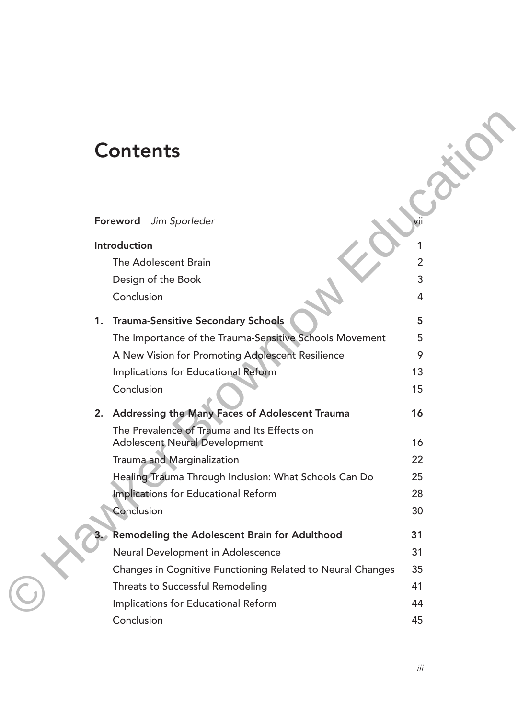# **Contents**

| <b>Contents</b>                                                                     |                |
|-------------------------------------------------------------------------------------|----------------|
| Foreword Jim Sporleder                                                              |                |
| Introduction                                                                        | 1              |
| The Adolescent Brain                                                                | $\overline{2}$ |
| Design of the Book                                                                  | 3              |
| Conclusion                                                                          | 4              |
|                                                                                     |                |
| 1. Trauma-Sensitive Secondary Schools                                               | 5.             |
| The Importance of the Trauma-Sensitive Schools Movement                             | 5<br>9         |
| A New Vision for Promoting Adolescent Resilience                                    | 13             |
| Implications for Educational Reform<br>Conclusion                                   | 15             |
|                                                                                     |                |
| 2. Addressing the Many Faces of Adolescent Trauma                                   | 16             |
| The Prevalence of Trauma and Its Effects on<br><b>Adolescent Neural Development</b> | 16             |
| Trauma and Marginalization                                                          | 22             |
| Healing Trauma Through Inclusion: What Schools Can Do                               | 25             |
| Implications for Educational Reform                                                 | 28             |
| Conclusion                                                                          | 30             |
| Remodeling the Adolescent Brain for Adulthood                                       | 31             |
| Neural Development in Adolescence                                                   | 31             |
| Changes in Cognitive Functioning Related to Neural Changes                          | 35             |
| Threats to Successful Remodeling                                                    | 41             |
| Implications for Educational Reform                                                 | 44             |
| Conclusion                                                                          | 45             |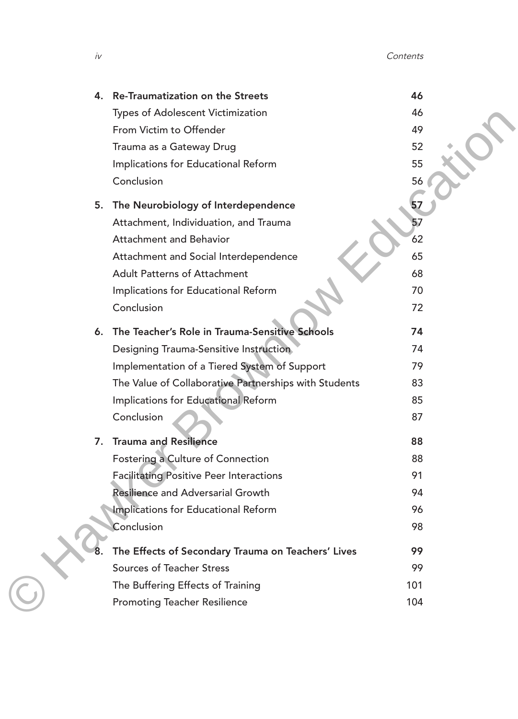iv Contents

| 46  |
|-----|
| 46  |
| 49  |
| 52  |
| 55  |
| 56  |
| 57  |
| 57  |
| 62  |
| 65  |
| 68  |
| 70  |
| 72  |
| 74  |
| 74  |
| 79  |
| 83  |
| 85  |
| 87  |
| 88  |
| 88  |
| 91  |
| 94  |
| 96  |
| 98  |
| 99  |
| 99  |
| 101 |
| 104 |
|     |
|     |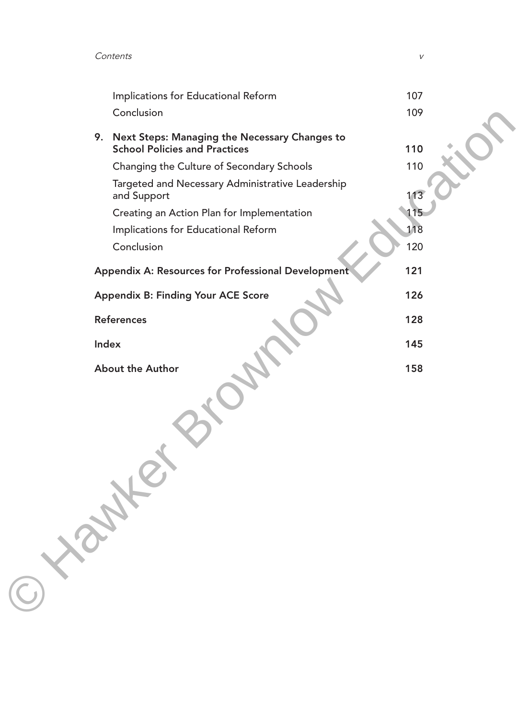Contents v

|            | Implications for Educational Reform                                                      | 107 |
|------------|------------------------------------------------------------------------------------------|-----|
|            | Conclusion                                                                               | 109 |
|            | 9. Next Steps: Managing the Necessary Changes to<br><b>School Policies and Practices</b> | 110 |
|            | Changing the Culture of Secondary Schools                                                | 110 |
|            | Targeted and Necessary Administrative Leadership<br>and Support                          | 113 |
|            | Creating an Action Plan for Implementation                                               | 115 |
|            | Implications for Educational Reform                                                      | 118 |
|            | Conclusion                                                                               | 120 |
|            |                                                                                          |     |
|            | Appendix A: Resources for Professional Development                                       | 121 |
|            | <b>Appendix B: Finding Your ACE Score</b>                                                | 126 |
|            | <b>References</b>                                                                        | 128 |
| Index      |                                                                                          | 145 |
|            | About the Author                                                                         | 158 |
| $\bigodot$ |                                                                                          |     |
|            |                                                                                          |     |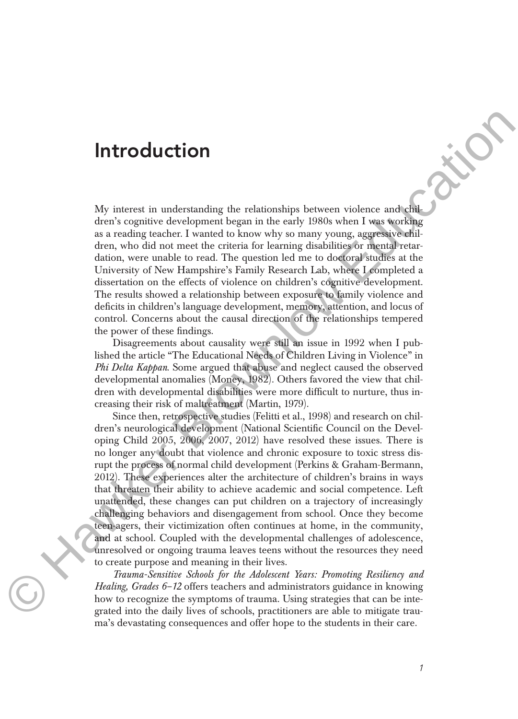## **Introduction**

©

My interest in understanding the relationships between violence and children's cognitive development began in the early 1980s when I was working as a reading teacher. I wanted to know why so many young, aggressive children, who did not meet the criteria for learning disabilities or mental retardation, were unable to read. The question led me to doctoral studies at the University of New Hampshire's Family Research Lab, where I completed a dissertation on the effects of violence on children's cognitive development. The results showed a relationship between exposure to family violence and deficits in children's language development, memory, attention, and locus of control. Concerns about the causal direction of the relationships tempered the power of these findings.

Disagreements about causality were still an issue in 1992 when I published the article "The Educational Needs of Children Living in Violence" in *Phi Delta Kappan*. Some argued that abuse and neglect caused the observed developmental anomalies (Money, 1982). Others favored the view that children with developmental disabilities were more difficult to nurture, thus increasing their risk of maltreatment (Martin, 1979).

Since then, retrospective studies (Felitti et al., 1998) and research on children's neurological development (National Scientific Council on the Developing Child 2005, 2006, 2007, 2012) have resolved these issues. There is no longer any doubt that violence and chronic exposure to toxic stress disrupt the process of normal child development (Perkins & Graham-Bermann, 2012). These experiences alter the architecture of children's brains in ways that threaten their ability to achieve academic and social competence. Left unattended, these changes can put children on a trajectory of increasingly challenging behaviors and disengagement from school. Once they become teen-agers, their victimization often continues at home, in the community, and at school. Coupled with the developmental challenges of adolescence, unresolved or ongoing trauma leaves teens without the resources they need to create purpose and meaning in their lives. **Introduction**<br>
My interest in understanding the relationships between violence and white<br>
derive consider development began in the card 1980s when I was working<br>
as a reading tascher. I wanted to know why to many young,

*Trauma-Sensitive Schools for the Adolescent Years: Promoting Resiliency and Healing, Grades 6–12* offers teachers and administrators guidance in knowing how to recognize the symptoms of trauma. Using strategies that can be integrated into the daily lives of schools, practitioners are able to mitigate trau ma's devastating consequences and offer hope to the students in their care.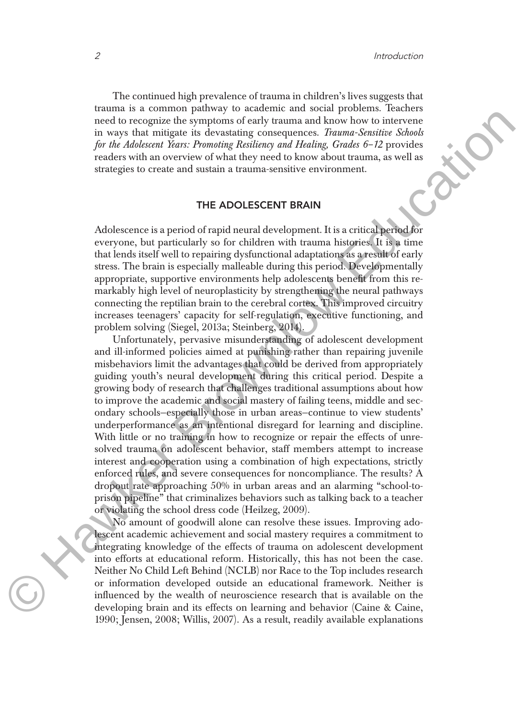The continued high prevalence of trauma in children's lives suggests that trauma is a common pathway to academic and social problems. Teachers need to recognize the symptoms of early trauma and know how to intervene in ways that mitigate its devastating consequences. *Trauma-Sensitive Schools for the Adolescent Years: Promoting Resiliency and Healing, Grades 6–12* provides readers with an overview of what they need to know about trauma, as well as strategies to create and sustain a trauma-sensitive environment.

### **THE ADOLESCENT BRAIN**

Adolescence is a period of rapid neural development. It is a critical period for everyone, but particularly so for children with trauma histories. It is a time that lends itself well to repairing dysfunctional adaptations as a result of early stress. The brain is especially malleable during this period. Developmentally appropriate, supportive environments help adolescents benefit from this remarkably high level of neuroplasticity by strengthening the neural pathways connecting the reptilian brain to the cerebral cortex. This improved circuitry increases teenagers' capacity for self-regulation, executive functioning, and problem solving (Siegel, 2013a; Steinberg, 2014).

Unfortunately, pervasive misunderstanding of adolescent development and ill-informed policies aimed at punishing rather than repairing juvenile misbehaviors limit the advantages that could be derived from appropriately guiding youth's neural development during this critical period. Despite a growing body of research that challenges traditional assumptions about how to improve the academic and social mastery of failing teens, middle and secondary schools—especially those in urban areas—continue to view students' underperformance as an intentional disregard for learning and discipline. With little or no training in how to recognize or repair the effects of unresolved trauma on adolescent behavior, staff members attempt to increase interest and cooperation using a combination of high expectations, strictly enforced rules, and severe consequences for noncompliance. The results? A dropout rate approaching 50% in urban areas and an alarming "school-toprison pi peline" that criminalizes behaviors such as talking back to a teacher or violating the school dress code (Heilzeg, 2009). ment to recognizate the symmetric streament and hand have been made to the proposition of the symmetric strength of the symmetry of the defeated for the defeated for the defeated for the defeated for the defeated for the

No amount of goodwill alone can resolve these issues. Improving adolescent academic achievement and social mastery requires a commitment to integrating knowledge of the effects of trauma on adolescent development into efforts at educational reform. Historically, this has not been the case. Neither No Child Left Behind (NCLB) nor Race to the Top includes research or information developed outside an educational framework. Neither is influenced by the wealth of neuroscience research that is available on the developing brain and its effects on learning and behavior (Caine & Caine, 1990; Jensen, 2008; Willis, 2007). As a result, readily available explanations

©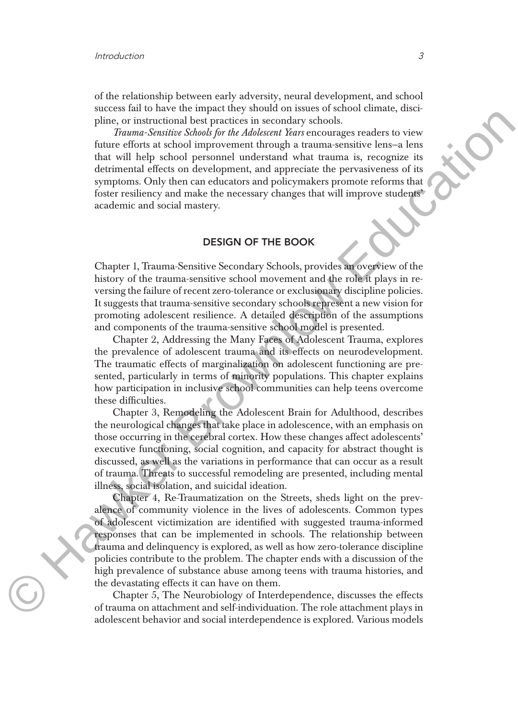©

of the relationship between early adversity, neural development, and school success fail to have the impact they should on issues of school climate, discipline, or instructional best practices in secondary schools.

*Trauma-Sensitive Schools for the Adolescent Years* encourages readers to view future efforts at school improvement through a trauma-sensitive lens—a lens that will help school personnel understand what trauma is, recognize its detrimental effects on development, and appreciate the pervasiveness of its symptoms. Only then can educators and policymakers promote reforms that foster resiliency and make the necessary changes that will improve students' academic and social mastery.

### **DESIGN OF THE BOOK**

Chapter 1, Trauma-Sensitive Secondary Schools, provides an overview of the history of the trauma-sensitive school movement and the role it plays in reversing the failure of recent zero-tolerance or exclusionary discipline policies. It suggests that trauma-sensitive secondary schools represent a new vision for promoting adolescent resilience. A detailed description of the assumptions and components of the trauma-sensitive school model is presented.

Chapter 2, Addressing the Many Faces of Adolescent Trauma, explores the prevalence of adolescent trauma and its effects on neurodevelopment. The traumatic effects of marginalization on adolescent functioning are presented, particularly in terms of minority populations. This chapter explains how participation in inclusive school communities can help teens overcome these difficulties.

Chapter 3, Remodeling the Adolescent Brain for Adulthood, describes the neurological changes that take place in adolescence, with an emphasis on those occurring in the cerebral cortex. How these changes affect adolescents' executive functioning, social cognition, and capacity for abstract thought is discussed, as well as the variations in performance that can occur as a result of trauma. Threats to successful remodeling are presented, including mental illness, social isolation, and suicidal ideation.

Chapter 4, Re-Traumatization on the Streets, sheds light on the prevalence of community violence in the lives of adolescents. Common types of adolescent victimization are identified with suggested trauma-informed responses that can be implemented in schools. The relationship between trauma and delinquency is explored, as well as how zero-tolerance discipline policies contribute to the problem. The chapter ends with a discussion of the high prevalence of substance abuse among teens with trauma histories, and the devastating effects it can have on them. white, or in<br>tunnitional liest practices in securiting whole about the material of the<br>material formula in the matrix of the matrix of the diskonent Kara encourages readers to view<br>funcarize of the diskonent Kara encourag

> Chapter 5, The Neurobiology of Interdependence, discusses the effects of trauma on attachment and self-individuation. The role attachment plays in adolescent behavior and social interdependence is explored. Various models